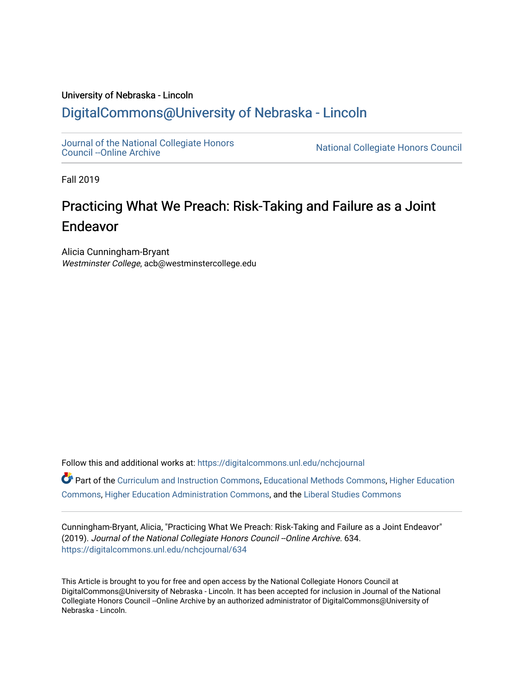## University of Nebraska - Lincoln [DigitalCommons@University of Nebraska - Lincoln](https://digitalcommons.unl.edu/)

[Journal of the National Collegiate Honors](https://digitalcommons.unl.edu/nchcjournal) 

National Collegiate Honors Council

Fall 2019

# Practicing What We Preach: Risk-Taking and Failure as a Joint Endeavor

Alicia Cunningham-Bryant Westminster College, acb@westminstercollege.edu

Follow this and additional works at: [https://digitalcommons.unl.edu/nchcjournal](https://digitalcommons.unl.edu/nchcjournal?utm_source=digitalcommons.unl.edu%2Fnchcjournal%2F634&utm_medium=PDF&utm_campaign=PDFCoverPages) 

Part of the [Curriculum and Instruction Commons,](http://network.bepress.com/hgg/discipline/786?utm_source=digitalcommons.unl.edu%2Fnchcjournal%2F634&utm_medium=PDF&utm_campaign=PDFCoverPages) [Educational Methods Commons,](http://network.bepress.com/hgg/discipline/1227?utm_source=digitalcommons.unl.edu%2Fnchcjournal%2F634&utm_medium=PDF&utm_campaign=PDFCoverPages) [Higher Education](http://network.bepress.com/hgg/discipline/1245?utm_source=digitalcommons.unl.edu%2Fnchcjournal%2F634&utm_medium=PDF&utm_campaign=PDFCoverPages) [Commons](http://network.bepress.com/hgg/discipline/1245?utm_source=digitalcommons.unl.edu%2Fnchcjournal%2F634&utm_medium=PDF&utm_campaign=PDFCoverPages), [Higher Education Administration Commons](http://network.bepress.com/hgg/discipline/791?utm_source=digitalcommons.unl.edu%2Fnchcjournal%2F634&utm_medium=PDF&utm_campaign=PDFCoverPages), and the [Liberal Studies Commons](http://network.bepress.com/hgg/discipline/1042?utm_source=digitalcommons.unl.edu%2Fnchcjournal%2F634&utm_medium=PDF&utm_campaign=PDFCoverPages)

Cunningham-Bryant, Alicia, "Practicing What We Preach: Risk-Taking and Failure as a Joint Endeavor" (2019). Journal of the National Collegiate Honors Council -- Online Archive. 634. [https://digitalcommons.unl.edu/nchcjournal/634](https://digitalcommons.unl.edu/nchcjournal/634?utm_source=digitalcommons.unl.edu%2Fnchcjournal%2F634&utm_medium=PDF&utm_campaign=PDFCoverPages) 

This Article is brought to you for free and open access by the National Collegiate Honors Council at DigitalCommons@University of Nebraska - Lincoln. It has been accepted for inclusion in Journal of the National Collegiate Honors Council --Online Archive by an authorized administrator of DigitalCommons@University of Nebraska - Lincoln.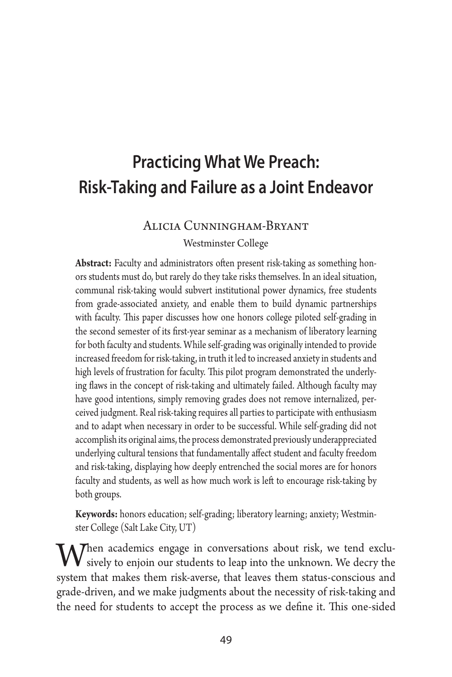## **Practicing What We Preach: Risk-Taking and Failure as a Joint Endeavor**

#### Alicia Cunningham-Bryant

Westminster College

**Abstract:** Faculty and administrators often present risk-taking as something honors students must do, but rarely do they take risks themselves. In an ideal situation, communal risk-taking would subvert institutional power dynamics, free students from grade-associated anxiety, and enable them to build dynamic partnerships with faculty. This paper discusses how one honors college piloted self-grading in the second semester of its first-year seminar as a mechanism of liberatory learning for both faculty and students. While self-grading was originally intended to provide increased freedom for risk-taking, in truth it led to increased anxiety in students and high levels of frustration for faculty. This pilot program demonstrated the underlying flaws in the concept of risk-taking and ultimately failed. Although faculty may have good intentions, simply removing grades does not remove internalized, perceived judgment. Real risk-taking requires all parties to participate with enthusiasm and to adapt when necessary in order to be successful. While self-grading did not accomplish its original aims, the process demonstrated previously underappreciated underlying cultural tensions that fundamentally affect student and faculty freedom and risk-taking, displaying how deeply entrenched the social mores are for honors faculty and students, as well as how much work is left to encourage risk-taking by both groups.

**Keywords:** honors education; self-grading; liberatory learning; anxiety; Westminster College (Salt Lake City, UT)

When academics engage in conversations about risk, we tend exclu-<br>sively to enjoin our students to leap into the unknown. We decry the<br>system that makes them size system that leaves them status experience and system that makes them risk-averse, that leaves them status-conscious and grade-driven, and we make judgments about the necessity of risk-taking and the need for students to accept the process as we define it. This one-sided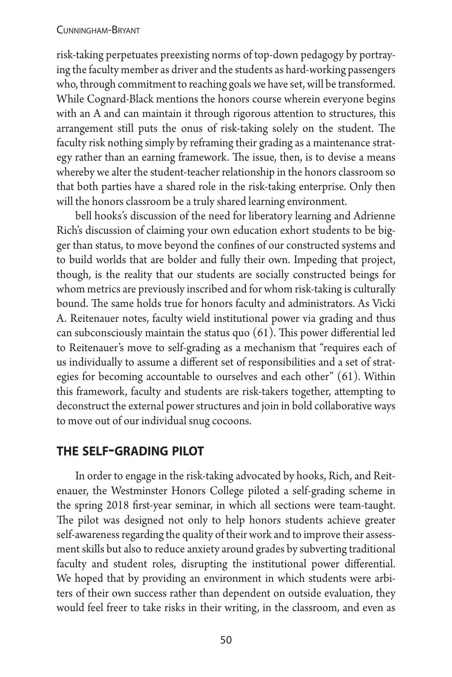risk-taking perpetuates preexisting norms of top-down pedagogy by portraying the faculty member as driver and the students as hard-working passengers who, through commitment to reaching goals we have set, will be transformed. While Cognard-Black mentions the honors course wherein everyone begins with an A and can maintain it through rigorous attention to structures, this arrangement still puts the onus of risk-taking solely on the student. The faculty risk nothing simply by reframing their grading as a maintenance strategy rather than an earning framework. The issue, then, is to devise a means whereby we alter the student-teacher relationship in the honors classroom so that both parties have a shared role in the risk-taking enterprise. Only then will the honors classroom be a truly shared learning environment.

bell hooks's discussion of the need for liberatory learning and Adrienne Rich's discussion of claiming your own education exhort students to be bigger than status, to move beyond the confines of our constructed systems and to build worlds that are bolder and fully their own. Impeding that project, though, is the reality that our students are socially constructed beings for whom metrics are previously inscribed and for whom risk-taking is culturally bound. The same holds true for honors faculty and administrators. As Vicki A. Reitenauer notes, faculty wield institutional power via grading and thus can subconsciously maintain the status quo (61). This power differential led to Reitenauer's move to self-grading as a mechanism that "requires each of us individually to assume a different set of responsibilities and a set of strategies for becoming accountable to ourselves and each other" (61). Within this framework, faculty and students are risk-takers together, attempting to deconstruct the external power structures and join in bold collaborative ways to move out of our individual snug cocoons.

## **the self-grading pilot**

In order to engage in the risk-taking advocated by hooks, Rich, and Reitenauer, the Westminster Honors College piloted a self-grading scheme in the spring 2018 first-year seminar, in which all sections were team-taught. The pilot was designed not only to help honors students achieve greater self-awareness regarding the quality of their work and to improve their assessment skills but also to reduce anxiety around grades by subverting traditional faculty and student roles, disrupting the institutional power differential. We hoped that by providing an environment in which students were arbiters of their own success rather than dependent on outside evaluation, they would feel freer to take risks in their writing, in the classroom, and even as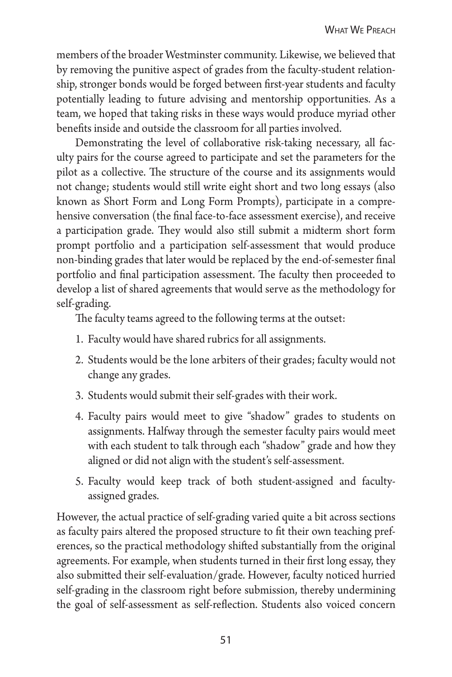members of the broader Westminster community. Likewise, we believed that by removing the punitive aspect of grades from the faculty-student relationship, stronger bonds would be forged between first-year students and faculty potentially leading to future advising and mentorship opportunities. As a team, we hoped that taking risks in these ways would produce myriad other benefits inside and outside the classroom for all parties involved.

Demonstrating the level of collaborative risk-taking necessary, all faculty pairs for the course agreed to participate and set the parameters for the pilot as a collective. The structure of the course and its assignments would not change; students would still write eight short and two long essays (also known as Short Form and Long Form Prompts), participate in a comprehensive conversation (the final face-to-face assessment exercise), and receive a participation grade. They would also still submit a midterm short form prompt portfolio and a participation self-assessment that would produce non-binding grades that later would be replaced by the end-of-semester final portfolio and final participation assessment. The faculty then proceeded to develop a list of shared agreements that would serve as the methodology for self-grading.

The faculty teams agreed to the following terms at the outset:

- 1. Faculty would have shared rubrics for all assignments.
- 2. Students would be the lone arbiters of their grades; faculty would not change any grades.
- 3. Students would submit their self-grades with their work.
- 4. Faculty pairs would meet to give "shadow" grades to students on assignments. Halfway through the semester faculty pairs would meet with each student to talk through each "shadow" grade and how they aligned or did not align with the student's self-assessment.
- 5. Faculty would keep track of both student-assigned and facultyassigned grades.

However, the actual practice of self-grading varied quite a bit across sections as faculty pairs altered the proposed structure to fit their own teaching preferences, so the practical methodology shifted substantially from the original agreements. For example, when students turned in their first long essay, they also submitted their self-evaluation/grade. However, faculty noticed hurried self-grading in the classroom right before submission, thereby undermining the goal of self-assessment as self-reflection. Students also voiced concern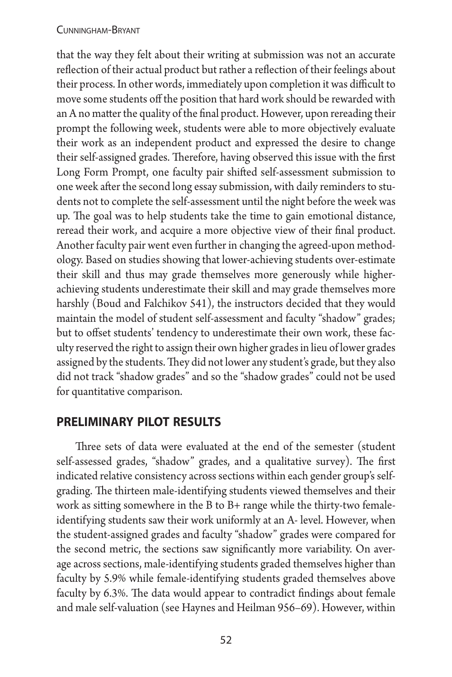that the way they felt about their writing at submission was not an accurate reflection of their actual product but rather a reflection of their feelings about their process. In other words, immediately upon completion it was difficult to move some students off the position that hard work should be rewarded with an A no matter the quality of the final product. However, upon rereading their prompt the following week, students were able to more objectively evaluate their work as an independent product and expressed the desire to change their self-assigned grades. Therefore, having observed this issue with the first Long Form Prompt, one faculty pair shifted self-assessment submission to one week after the second long essay submission, with daily reminders to students not to complete the self-assessment until the night before the week was up. The goal was to help students take the time to gain emotional distance, reread their work, and acquire a more objective view of their final product. Another faculty pair went even further in changing the agreed-upon methodology. Based on studies showing that lower-achieving students over-estimate their skill and thus may grade themselves more generously while higherachieving students underestimate their skill and may grade themselves more harshly (Boud and Falchikov 541), the instructors decided that they would maintain the model of student self-assessment and faculty "shadow" grades; but to offset students' tendency to underestimate their own work, these faculty reserved the right to assign their own higher grades in lieu of lower grades assigned by the students. They did not lower any student's grade, but they also did not track "shadow grades" and so the "shadow grades" could not be used for quantitative comparison.

### **preliminary pilot results**

Three sets of data were evaluated at the end of the semester (student self-assessed grades, "shadow" grades, and a qualitative survey). The first indicated relative consistency across sections within each gender group's selfgrading. The thirteen male-identifying students viewed themselves and their work as sitting somewhere in the B to B+ range while the thirty-two femaleidentifying students saw their work uniformly at an A- level. However, when the student-assigned grades and faculty "shadow" grades were compared for the second metric, the sections saw significantly more variability. On average across sections, male-identifying students graded themselves higher than faculty by 5.9% while female-identifying students graded themselves above faculty by 6.3%. The data would appear to contradict findings about female and male self-valuation (see Haynes and Heilman 956–69). However, within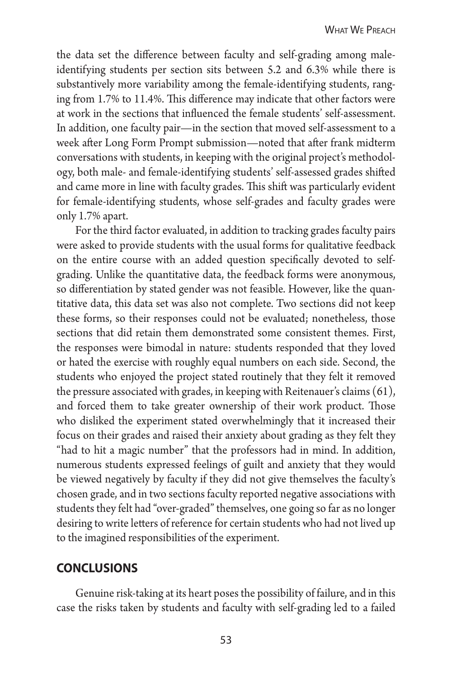the data set the difference between faculty and self-grading among maleidentifying students per section sits between 5.2 and 6.3% while there is substantively more variability among the female-identifying students, ranging from 1.7% to 11.4%. This difference may indicate that other factors were at work in the sections that influenced the female students' self-assessment. In addition, one faculty pair—in the section that moved self-assessment to a week after Long Form Prompt submission—noted that after frank midterm conversations with students, in keeping with the original project's methodology, both male- and female-identifying students' self-assessed grades shifted and came more in line with faculty grades. This shift was particularly evident for female-identifying students, whose self-grades and faculty grades were only 1.7% apart.

For the third factor evaluated, in addition to tracking grades faculty pairs were asked to provide students with the usual forms for qualitative feedback on the entire course with an added question specifically devoted to selfgrading. Unlike the quantitative data, the feedback forms were anonymous, so differentiation by stated gender was not feasible. However, like the quantitative data, this data set was also not complete. Two sections did not keep these forms, so their responses could not be evaluated; nonetheless, those sections that did retain them demonstrated some consistent themes. First, the responses were bimodal in nature: students responded that they loved or hated the exercise with roughly equal numbers on each side. Second, the students who enjoyed the project stated routinely that they felt it removed the pressure associated with grades, in keeping with Reitenauer's claims (61), and forced them to take greater ownership of their work product. Those who disliked the experiment stated overwhelmingly that it increased their focus on their grades and raised their anxiety about grading as they felt they "had to hit a magic number" that the professors had in mind. In addition, numerous students expressed feelings of guilt and anxiety that they would be viewed negatively by faculty if they did not give themselves the faculty's chosen grade, and in two sections faculty reported negative associations with students they felt had "over-graded" themselves, one going so far as no longer desiring to write letters of reference for certain students who had not lived up to the imagined responsibilities of the experiment.

### **conclusions**

Genuine risk-taking at its heart poses the possibility of failure, and in this case the risks taken by students and faculty with self-grading led to a failed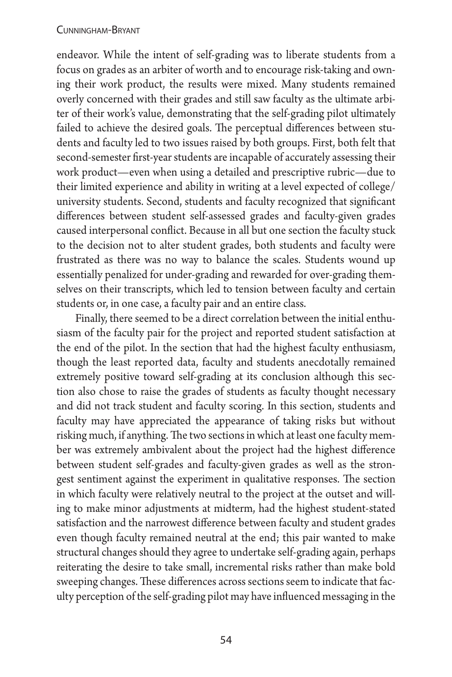endeavor. While the intent of self-grading was to liberate students from a focus on grades as an arbiter of worth and to encourage risk-taking and owning their work product, the results were mixed. Many students remained overly concerned with their grades and still saw faculty as the ultimate arbiter of their work's value, demonstrating that the self-grading pilot ultimately failed to achieve the desired goals. The perceptual differences between students and faculty led to two issues raised by both groups. First, both felt that second-semester first-year students are incapable of accurately assessing their work product—even when using a detailed and prescriptive rubric—due to their limited experience and ability in writing at a level expected of college/ university students. Second, students and faculty recognized that significant differences between student self-assessed grades and faculty-given grades caused interpersonal conflict. Because in all but one section the faculty stuck to the decision not to alter student grades, both students and faculty were frustrated as there was no way to balance the scales. Students wound up essentially penalized for under-grading and rewarded for over-grading themselves on their transcripts, which led to tension between faculty and certain students or, in one case, a faculty pair and an entire class.

Finally, there seemed to be a direct correlation between the initial enthusiasm of the faculty pair for the project and reported student satisfaction at the end of the pilot. In the section that had the highest faculty enthusiasm, though the least reported data, faculty and students anecdotally remained extremely positive toward self-grading at its conclusion although this section also chose to raise the grades of students as faculty thought necessary and did not track student and faculty scoring. In this section, students and faculty may have appreciated the appearance of taking risks but without risking much, if anything. The two sections in which at least one faculty member was extremely ambivalent about the project had the highest difference between student self-grades and faculty-given grades as well as the strongest sentiment against the experiment in qualitative responses. The section in which faculty were relatively neutral to the project at the outset and willing to make minor adjustments at midterm, had the highest student-stated satisfaction and the narrowest difference between faculty and student grades even though faculty remained neutral at the end; this pair wanted to make structural changes should they agree to undertake self-grading again, perhaps reiterating the desire to take small, incremental risks rather than make bold sweeping changes. These differences across sections seem to indicate that faculty perception of the self-grading pilot may have influenced messaging in the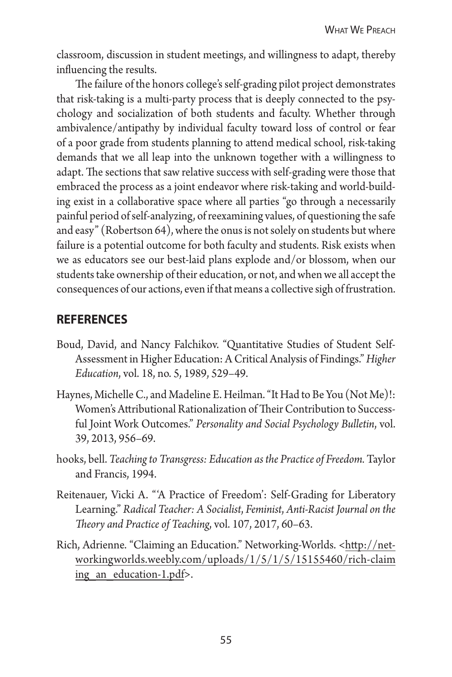classroom, discussion in student meetings, and willingness to adapt, thereby influencing the results.

The failure of the honors college's self-grading pilot project demonstrates that risk-taking is a multi-party process that is deeply connected to the psychology and socialization of both students and faculty. Whether through ambivalence/antipathy by individual faculty toward loss of control or fear of a poor grade from students planning to attend medical school, risk-taking demands that we all leap into the unknown together with a willingness to adapt. The sections that saw relative success with self-grading were those that embraced the process as a joint endeavor where risk-taking and world-building exist in a collaborative space where all parties "go through a necessarily painful period of self-analyzing, of reexamining values, of questioning the safe and easy" (Robertson 64), where the onus is not solely on students but where failure is a potential outcome for both faculty and students. Risk exists when we as educators see our best-laid plans explode and/or blossom, when our students take ownership of their education, or not, and when we all accept the consequences of our actions, even if that means a collective sigh of frustration.

## **references**

- Boud, David, and Nancy Falchikov. "Quantitative Studies of Student Self-Assessment in Higher Education: A Critical Analysis of Findings." *Higher Education*, vol. 18, no. 5, 1989, 529–49.
- Haynes, Michelle C., and Madeline E. Heilman. "It Had to Be You (Not Me)!: Women's Attributional Rationalization of Their Contribution to Successful Joint Work Outcomes." *Personality and Social Psychology Bulletin*, vol. 39, 2013, 956–69.
- hooks, bell. *Teaching to Transgress: Education as the Practice of Freedom.* Taylor and Francis, 1994.
- Reitenauer, Vicki A. "'A Practice of Freedom': Self-Grading for Liberatory Learning." *Radical Teacher: A Socialist*, *Feminist*, *Anti-Racist Journal on the Theory and Practice of Teaching*, vol. 107, 2017, 60–63.
- Rich, Adrienne. "Claiming an Education." Networking-Worlds. <http://networkingworlds.weebly.com/uploads/1/5/1/5/15155460/rich-claim ing an education-1.pdf>.